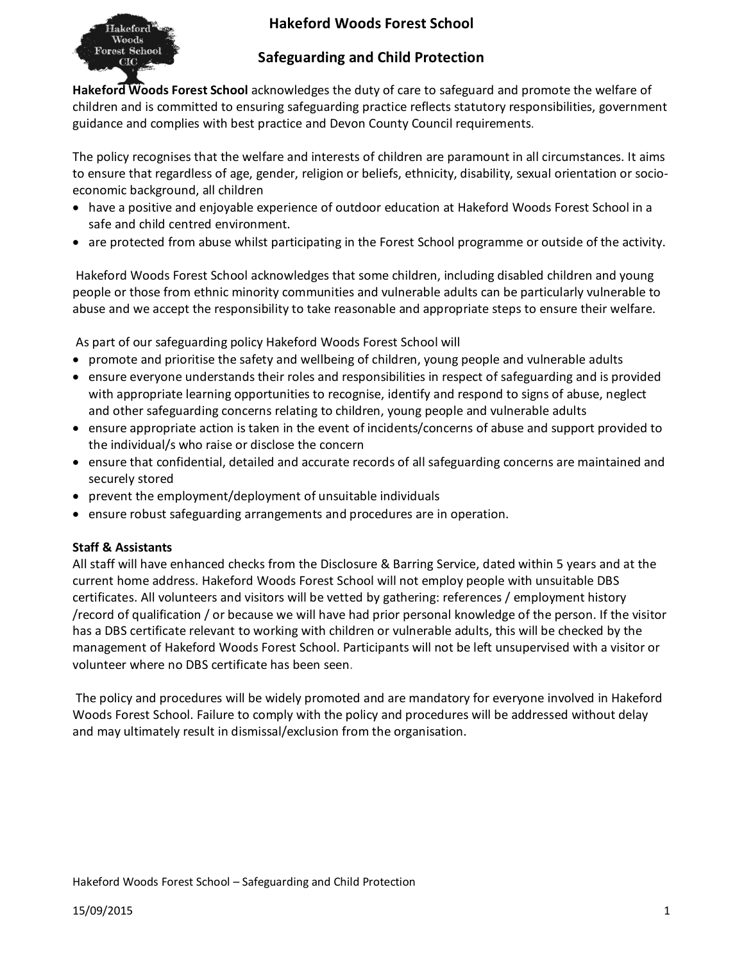# **Hakeford Woods Forest School**



## **Safeguarding and Child Protection**

**Hakeford Woods Forest School** acknowledges the duty of care to safeguard and promote the welfare of children and is committed to ensuring safeguarding practice reflects statutory responsibilities, government guidance and complies with best practice and Devon County Council requirements.

The policy recognises that the welfare and interests of children are paramount in all circumstances. It aims to ensure that regardless of age, gender, religion or beliefs, ethnicity, disability, sexual orientation or socioeconomic background, all children

- · have a positive and enjoyable experience of outdoor education at Hakeford Woods Forest School in a safe and child centred environment.
- · are protected from abuse whilst participating in the Forest School programme or outside of the activity.

Hakeford Woods Forest School acknowledges that some children, including disabled children and young people or those from ethnic minority communities and vulnerable adults can be particularly vulnerable to abuse and we accept the responsibility to take reasonable and appropriate steps to ensure their welfare.

As part of our safeguarding policy Hakeford Woods Forest School will

- · promote and prioritise the safety and wellbeing of children, young people and vulnerable adults
- · ensure everyone understands their roles and responsibilities in respect of safeguarding and is provided with appropriate learning opportunities to recognise, identify and respond to signs of abuse, neglect and other safeguarding concerns relating to children, young people and vulnerable adults
- · ensure appropriate action is taken in the event of incidents/concerns of abuse and support provided to the individual/s who raise or disclose the concern
- · ensure that confidential, detailed and accurate records of all safeguarding concerns are maintained and securely stored
- · prevent the employment/deployment of unsuitable individuals
- · ensure robust safeguarding arrangements and procedures are in operation.

## **Staff & Assistants**

All staff will have enhanced checks from the Disclosure & Barring Service, dated within 5 years and at the current home address. Hakeford Woods Forest School will not employ people with unsuitable DBS certificates. All volunteers and visitors will be vetted by gathering: references / employment history /record of qualification / or because we will have had prior personal knowledge of the person. If the visitor has a DBS certificate relevant to working with children or vulnerable adults, this will be checked by the management of Hakeford Woods Forest School. Participants will not be left unsupervised with a visitor or volunteer where no DBS certificate has been seen.

The policy and procedures will be widely promoted and are mandatory for everyone involved in Hakeford Woods Forest School. Failure to comply with the policy and procedures will be addressed without delay and may ultimately result in dismissal/exclusion from the organisation.